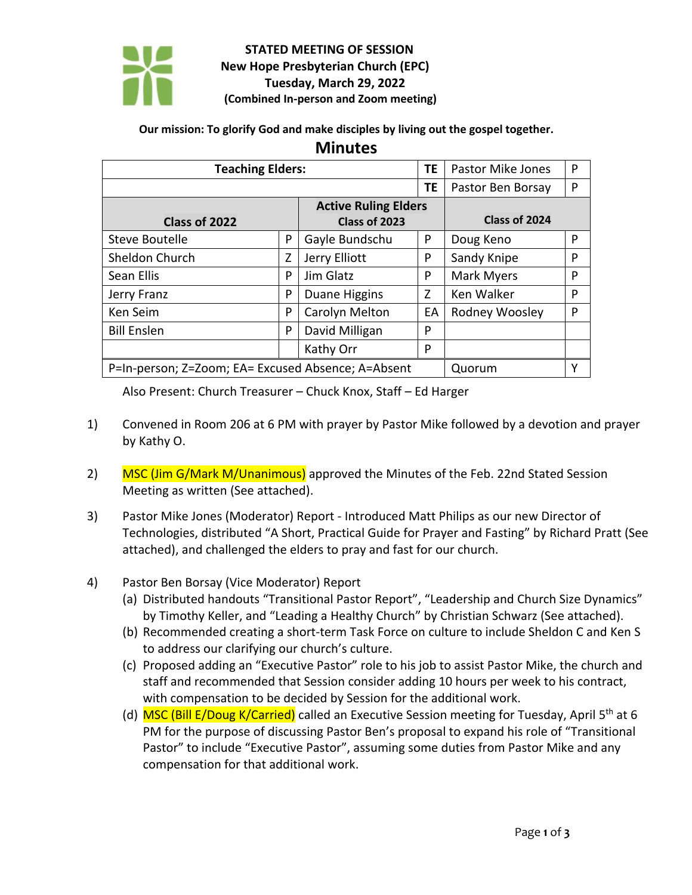

## **STATED MEETING OF SESSION New Hope Presbyterian Church (EPC) Tuesday, March 29, 2022 (Combined In-person and Zoom meeting)**

## **Our mission: To glorify God and make disciples by living out the gospel together.**

## **Minutes**

| <b>Teaching Elders:</b>                            |   |                             | ΤE | <b>Pastor Mike Jones</b> | P |
|----------------------------------------------------|---|-----------------------------|----|--------------------------|---|
|                                                    |   |                             | ТE | Pastor Ben Borsay        | P |
|                                                    |   | <b>Active Ruling Elders</b> |    |                          |   |
| Class of 2022                                      |   | Class of 2023               |    | Class of 2024            |   |
| Steve Boutelle                                     | P | Gayle Bundschu              | P  | Doug Keno                | P |
| Sheldon Church                                     | Z | Jerry Elliott               | P  | Sandy Knipe              | P |
| Sean Ellis                                         | P | Jim Glatz                   | P  | Mark Myers               | P |
| Jerry Franz                                        | P | Duane Higgins               | Z  | Ken Walker               | P |
| Ken Seim                                           | P | Carolyn Melton              | EA | Rodney Woosley           | P |
| <b>Bill Enslen</b>                                 | P | David Milligan              | P  |                          |   |
|                                                    |   | Kathy Orr                   | P  |                          |   |
| P=In-person; Z=Zoom; EA= Excused Absence; A=Absent |   |                             |    | Quorum                   | Υ |

Also Present: Church Treasurer – Chuck Knox, Staff – Ed Harger

- 1) Convened in Room 206 at 6 PM with prayer by Pastor Mike followed by a devotion and prayer by Kathy O.
- 2) MSC (Jim G/Mark M/Unanimous) approved the Minutes of the Feb. 22nd Stated Session Meeting as written (See attached).
- 3) Pastor Mike Jones (Moderator) Report Introduced Matt Philips as our new Director of Technologies, distributed "A Short, Practical Guide for Prayer and Fasting" by Richard Pratt (See attached), and challenged the elders to pray and fast for our church.
- 4) Pastor Ben Borsay (Vice Moderator) Report
	- (a) Distributed handouts "Transitional Pastor Report", "Leadership and Church Size Dynamics" by Timothy Keller, and "Leading a Healthy Church" by Christian Schwarz (See attached).
	- (b) Recommended creating a short-term Task Force on culture to include Sheldon C and Ken S to address our clarifying our church's culture.
	- (c) Proposed adding an "Executive Pastor" role to his job to assist Pastor Mike, the church and staff and recommended that Session consider adding 10 hours per week to his contract, with compensation to be decided by Session for the additional work.
	- (d) MSC (Bill E/Doug K/Carried) called an Executive Session meeting for Tuesday, April 5<sup>th</sup> at 6 PM for the purpose of discussing Pastor Ben's proposal to expand his role of "Transitional Pastor" to include "Executive Pastor", assuming some duties from Pastor Mike and any compensation for that additional work.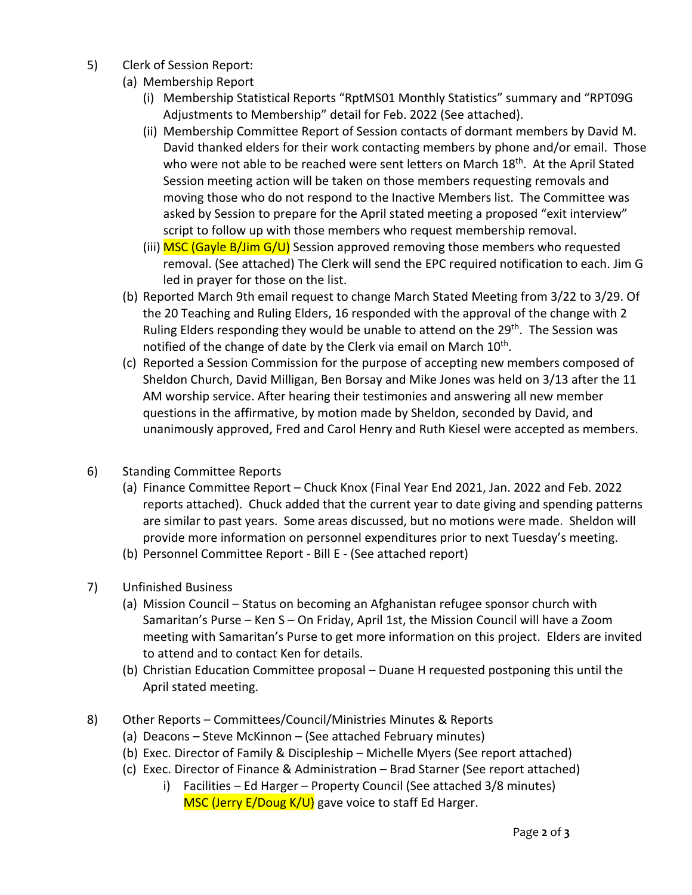- 5) Clerk of Session Report:
	- (a) Membership Report
		- (i) Membership Statistical Reports "RptMS01 Monthly Statistics" summary and "RPT09G Adjustments to Membership" detail for Feb. 2022 (See attached).
		- (ii) Membership Committee Report of Session contacts of dormant members by David M. David thanked elders for their work contacting members by phone and/or email. Those who were not able to be reached were sent letters on March 18<sup>th</sup>. At the April Stated Session meeting action will be taken on those members requesting removals and moving those who do not respond to the Inactive Members list. The Committee was asked by Session to prepare for the April stated meeting a proposed "exit interview" script to follow up with those members who request membership removal.
		- (iii) MSC (Gayle B/Jim G/U) Session approved removing those members who requested removal. (See attached) The Clerk will send the EPC required notification to each. Jim G led in prayer for those on the list.
	- (b) Reported March 9th email request to change March Stated Meeting from 3/22 to 3/29. Of the 20 Teaching and Ruling Elders, 16 responded with the approval of the change with 2 Ruling Elders responding they would be unable to attend on the 29<sup>th</sup>. The Session was notified of the change of date by the Clerk via email on March  $10<sup>th</sup>$ .
	- (c) Reported a Session Commission for the purpose of accepting new members composed of Sheldon Church, David Milligan, Ben Borsay and Mike Jones was held on 3/13 after the 11 AM worship service. After hearing their testimonies and answering all new member questions in the affirmative, by motion made by Sheldon, seconded by David, and unanimously approved, Fred and Carol Henry and Ruth Kiesel were accepted as members.
- 6) Standing Committee Reports
	- (a) Finance Committee Report Chuck Knox (Final Year End 2021, Jan. 2022 and Feb. 2022 reports attached). Chuck added that the current year to date giving and spending patterns are similar to past years. Some areas discussed, but no motions were made. Sheldon will provide more information on personnel expenditures prior to next Tuesday's meeting.
	- (b) Personnel Committee Report Bill E (See attached report)
- 7) Unfinished Business
	- (a) Mission Council Status on becoming an Afghanistan refugee sponsor church with Samaritan's Purse – Ken S – On Friday, April 1st, the Mission Council will have a Zoom meeting with Samaritan's Purse to get more information on this project. Elders are invited to attend and to contact Ken for details.
	- (b) Christian Education Committee proposal Duane H requested postponing this until the April stated meeting.
- 8) Other Reports Committees/Council/Ministries Minutes & Reports
	- (a) Deacons Steve McKinnon (See attached February minutes)
	- (b) Exec. Director of Family & Discipleship Michelle Myers (See report attached)
	- (c) Exec. Director of Finance & Administration Brad Starner (See report attached)
		- i) Facilities Ed Harger Property Council (See attached 3/8 minutes) MSC (Jerry E/Doug K/U) gave voice to staff Ed Harger.